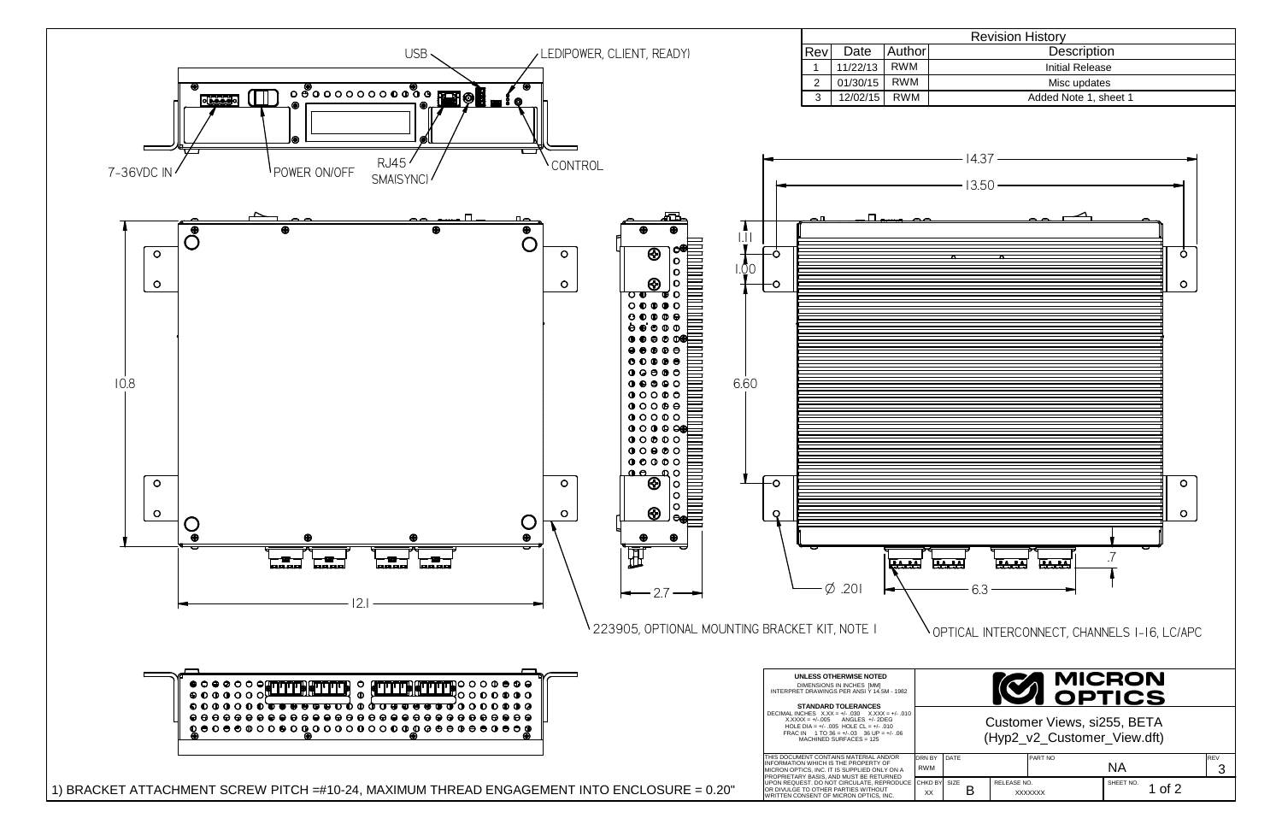